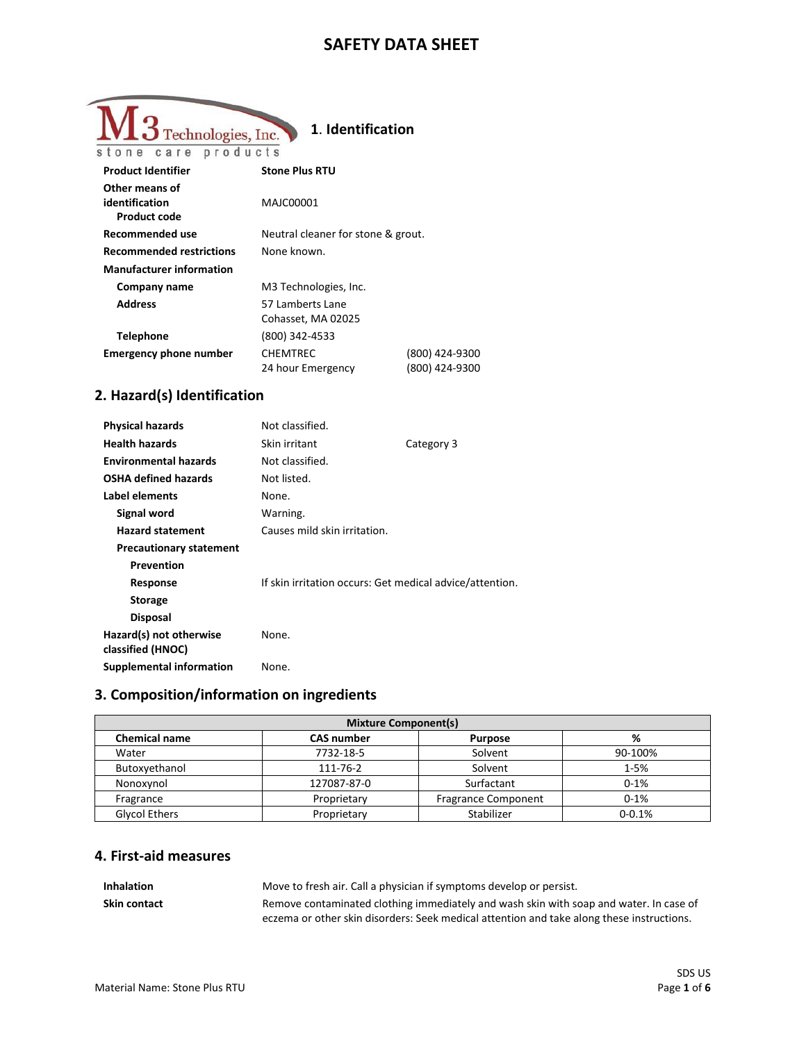## **SAFETY DATA SHEET**

| Technologies, Inc.                                      | 1. Identification                      |                                  |
|---------------------------------------------------------|----------------------------------------|----------------------------------|
| stone care products                                     |                                        |                                  |
| <b>Product Identifier</b>                               | <b>Stone Plus RTU</b>                  |                                  |
| Other means of<br>identification<br><b>Product code</b> | MAJC00001                              |                                  |
| Recommended use                                         | Neutral cleaner for stone & grout.     |                                  |
| <b>Recommended restrictions</b>                         | None known.                            |                                  |
| <b>Manufacturer information</b>                         |                                        |                                  |
| Company name                                            | M3 Technologies, Inc.                  |                                  |
| <b>Address</b>                                          | 57 Lamberts Lane<br>Cohasset, MA 02025 |                                  |
| Telephone                                               | (800) 342-4533                         |                                  |
| <b>Emergency phone number</b>                           | <b>CHEMTREC</b><br>24 hour Emergency   | (800) 424-9300<br>(800) 424-9300 |

# **2. Hazard(s) Identification**

| <b>Physical hazards</b>                      | Not classified.                                          |            |
|----------------------------------------------|----------------------------------------------------------|------------|
| <b>Health hazards</b>                        | Skin irritant                                            | Category 3 |
| <b>Environmental hazards</b>                 | Not classified.                                          |            |
| <b>OSHA defined hazards</b>                  | Not listed.                                              |            |
| Label elements                               | None.                                                    |            |
| Signal word                                  | Warning.                                                 |            |
| <b>Hazard statement</b>                      | Causes mild skin irritation.                             |            |
| <b>Precautionary statement</b>               |                                                          |            |
| Prevention                                   |                                                          |            |
| Response                                     | If skin irritation occurs: Get medical advice/attention. |            |
| <b>Storage</b>                               |                                                          |            |
| <b>Disposal</b>                              |                                                          |            |
| Hazard(s) not otherwise<br>classified (HNOC) | None.                                                    |            |
| <b>Supplemental information</b>              | None.                                                    |            |

### **3. Composition/information on ingredients**

| <b>Mixture Component(s)</b> |                   |                            |            |
|-----------------------------|-------------------|----------------------------|------------|
| <b>Chemical name</b>        | <b>CAS number</b> | <b>Purpose</b>             | %          |
| Water                       | 7732-18-5         | Solvent                    | 90-100%    |
| Butoxyethanol               | 111-76-2          | Solvent                    | $1 - 5%$   |
| Nonoxynol                   | 127087-87-0       | Surfactant                 | $0 - 1%$   |
| Fragrance                   | Proprietary       | <b>Fragrance Component</b> | $0 - 1%$   |
| Glycol Ethers               | Proprietary       | Stabilizer                 | $0 - 0.1%$ |

### **4. First-aid measures**

| <b>Inhalation</b> | Move to fresh air. Call a physician if symptoms develop or persist.                       |
|-------------------|-------------------------------------------------------------------------------------------|
| Skin contact      | Remove contaminated clothing immediately and wash skin with soap and water. In case of    |
|                   | eczema or other skin disorders: Seek medical attention and take along these instructions. |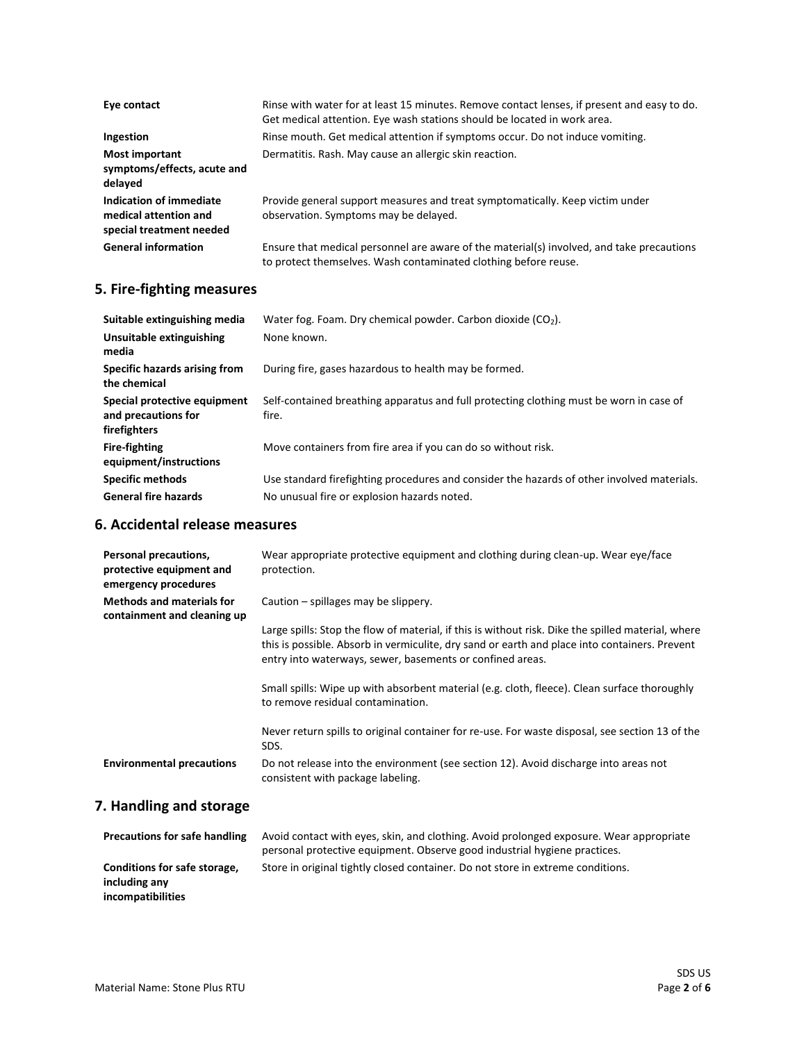| Eye contact                                                                  | Rinse with water for at least 15 minutes. Remove contact lenses, if present and easy to do.<br>Get medical attention. Eye wash stations should be located in work area. |
|------------------------------------------------------------------------------|-------------------------------------------------------------------------------------------------------------------------------------------------------------------------|
| Ingestion                                                                    | Rinse mouth. Get medical attention if symptoms occur. Do not induce vomiting.                                                                                           |
| <b>Most important</b><br>symptoms/effects, acute and<br>delayed              | Dermatitis. Rash. May cause an allergic skin reaction.                                                                                                                  |
| Indication of immediate<br>medical attention and<br>special treatment needed | Provide general support measures and treat symptomatically. Keep victim under<br>observation. Symptoms may be delayed.                                                  |
| <b>General information</b>                                                   | Ensure that medical personnel are aware of the material(s) involved, and take precautions<br>to protect themselves. Wash contaminated clothing before reuse.            |

### **5. Fire-fighting measures**

| Suitable extinguishing media                                        | Water fog. Foam. Dry chemical powder. Carbon dioxide $(CO2)$ .                                   |
|---------------------------------------------------------------------|--------------------------------------------------------------------------------------------------|
| Unsuitable extinguishing<br>media                                   | None known.                                                                                      |
| Specific hazards arising from<br>the chemical                       | During fire, gases hazardous to health may be formed.                                            |
| Special protective equipment<br>and precautions for<br>firefighters | Self-contained breathing apparatus and full protecting clothing must be worn in case of<br>fire. |
| <b>Fire-fighting</b><br>equipment/instructions                      | Move containers from fire area if you can do so without risk.                                    |
| <b>Specific methods</b>                                             | Use standard firefighting procedures and consider the hazards of other involved materials.       |
| <b>General fire hazards</b>                                         | No unusual fire or explosion hazards noted.                                                      |

#### **6. Accidental release measures**

| Personal precautions,<br>protective equipment and<br>emergency procedures | Wear appropriate protective equipment and clothing during clean-up. Wear eye/face<br>protection.                                                                                                                                                                 |
|---------------------------------------------------------------------------|------------------------------------------------------------------------------------------------------------------------------------------------------------------------------------------------------------------------------------------------------------------|
| <b>Methods and materials for</b><br>containment and cleaning up           | Caution – spillages may be slippery.                                                                                                                                                                                                                             |
|                                                                           | Large spills: Stop the flow of material, if this is without risk. Dike the spilled material, where<br>this is possible. Absorb in vermiculite, dry sand or earth and place into containers. Prevent<br>entry into waterways, sewer, basements or confined areas. |
|                                                                           | Small spills: Wipe up with absorbent material (e.g. cloth, fleece). Clean surface thoroughly<br>to remove residual contamination.                                                                                                                                |
|                                                                           | Never return spills to original container for re-use. For waste disposal, see section 13 of the<br>SDS.                                                                                                                                                          |
| <b>Environmental precautions</b>                                          | Do not release into the environment (see section 12). Avoid discharge into areas not<br>consistent with package labeling.                                                                                                                                        |

# **7. Handling and storage**

| <b>Precautions for safe handling</b>                               | Avoid contact with eyes, skin, and clothing. Avoid prolonged exposure. Wear appropriate<br>personal protective equipment. Observe good industrial hygiene practices. |
|--------------------------------------------------------------------|----------------------------------------------------------------------------------------------------------------------------------------------------------------------|
| Conditions for safe storage,<br>including any<br>incompatibilities | Store in original tightly closed container. Do not store in extreme conditions.                                                                                      |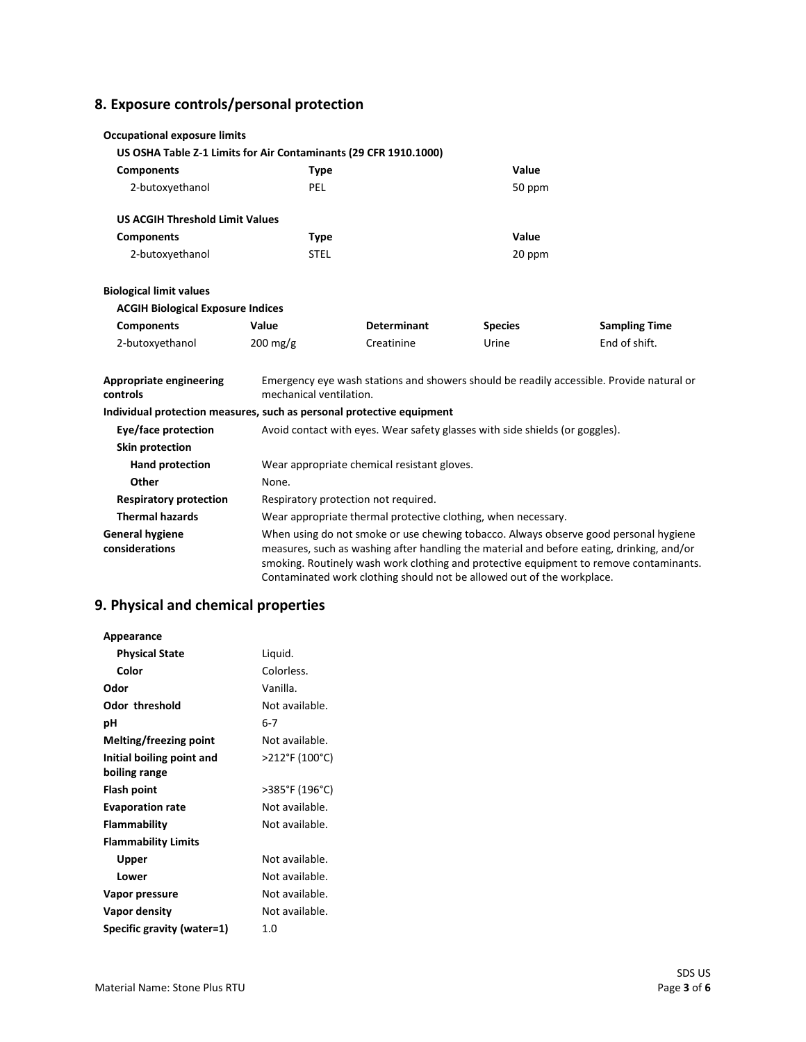# **8. Exposure controls/personal protection**

| <b>Occupational exposure limits</b>                                   |                                  |                                                                                                                                                                                                                                                                                                                                                       |                |                      |  |
|-----------------------------------------------------------------------|----------------------------------|-------------------------------------------------------------------------------------------------------------------------------------------------------------------------------------------------------------------------------------------------------------------------------------------------------------------------------------------------------|----------------|----------------------|--|
| US OSHA Table Z-1 Limits for Air Contaminants (29 CFR 1910.1000)      |                                  |                                                                                                                                                                                                                                                                                                                                                       |                |                      |  |
| <b>Components</b>                                                     | <b>Type</b>                      |                                                                                                                                                                                                                                                                                                                                                       | Value          |                      |  |
| 2-butoxyethanol                                                       | PEL                              |                                                                                                                                                                                                                                                                                                                                                       |                | 50 ppm               |  |
| <b>US ACGIH Threshold Limit Values</b>                                |                                  |                                                                                                                                                                                                                                                                                                                                                       |                |                      |  |
| <b>Components</b>                                                     | <b>Type</b>                      |                                                                                                                                                                                                                                                                                                                                                       | Value          |                      |  |
| 2-butoxyethanol                                                       | <b>STEL</b>                      |                                                                                                                                                                                                                                                                                                                                                       | 20 ppm         |                      |  |
| <b>Biological limit values</b>                                        |                                  |                                                                                                                                                                                                                                                                                                                                                       |                |                      |  |
| <b>ACGIH Biological Exposure Indices</b>                              |                                  |                                                                                                                                                                                                                                                                                                                                                       |                |                      |  |
| <b>Components</b>                                                     | Value                            | <b>Determinant</b>                                                                                                                                                                                                                                                                                                                                    | <b>Species</b> | <b>Sampling Time</b> |  |
| 2-butoxyethanol                                                       | $200 \frac{\text{mg}}{\text{g}}$ | Creatinine                                                                                                                                                                                                                                                                                                                                            | Urine          | End of shift.        |  |
| <b>Appropriate engineering</b><br>controls                            |                                  | Emergency eye wash stations and showers should be readily accessible. Provide natural or<br>mechanical ventilation.                                                                                                                                                                                                                                   |                |                      |  |
| Individual protection measures, such as personal protective equipment |                                  |                                                                                                                                                                                                                                                                                                                                                       |                |                      |  |
| Eye/face protection                                                   |                                  | Avoid contact with eyes. Wear safety glasses with side shields (or goggles).                                                                                                                                                                                                                                                                          |                |                      |  |
| Skin protection                                                       |                                  |                                                                                                                                                                                                                                                                                                                                                       |                |                      |  |
| Hand protection                                                       |                                  | Wear appropriate chemical resistant gloves.                                                                                                                                                                                                                                                                                                           |                |                      |  |
| Other                                                                 | None.                            |                                                                                                                                                                                                                                                                                                                                                       |                |                      |  |
| <b>Respiratory protection</b>                                         |                                  | Respiratory protection not required.                                                                                                                                                                                                                                                                                                                  |                |                      |  |
| <b>Thermal hazards</b>                                                |                                  | Wear appropriate thermal protective clothing, when necessary.                                                                                                                                                                                                                                                                                         |                |                      |  |
| <b>General hygiene</b><br>considerations                              |                                  | When using do not smoke or use chewing tobacco. Always observe good personal hygiene<br>measures, such as washing after handling the material and before eating, drinking, and/or<br>smoking. Routinely wash work clothing and protective equipment to remove contaminants.<br>Contaminated work clothing should not be allowed out of the workplace. |                |                      |  |

# **9. Physical and chemical properties**

| Appearance                 |                |
|----------------------------|----------------|
| <b>Physical State</b>      | Liquid.        |
| Color                      | Colorless.     |
| Odor                       | Vanilla.       |
| <b>Odor threshold</b>      | Not available. |
| рH                         | $6-7$          |
| Melting/freezing point     | Not available. |
| Initial boiling point and  | >212°F (100°C) |
| boiling range              |                |
| Flash point                | >385°F (196°C) |
| <b>Evaporation rate</b>    | Not available. |
| Flammability               | Not available. |
| <b>Flammability Limits</b> |                |
| Upper                      | Not available. |
| Lower                      | Not available. |
| Vapor pressure             | Not available. |
| Vapor density              | Not available. |
| Specific gravity (water=1) | 1.0            |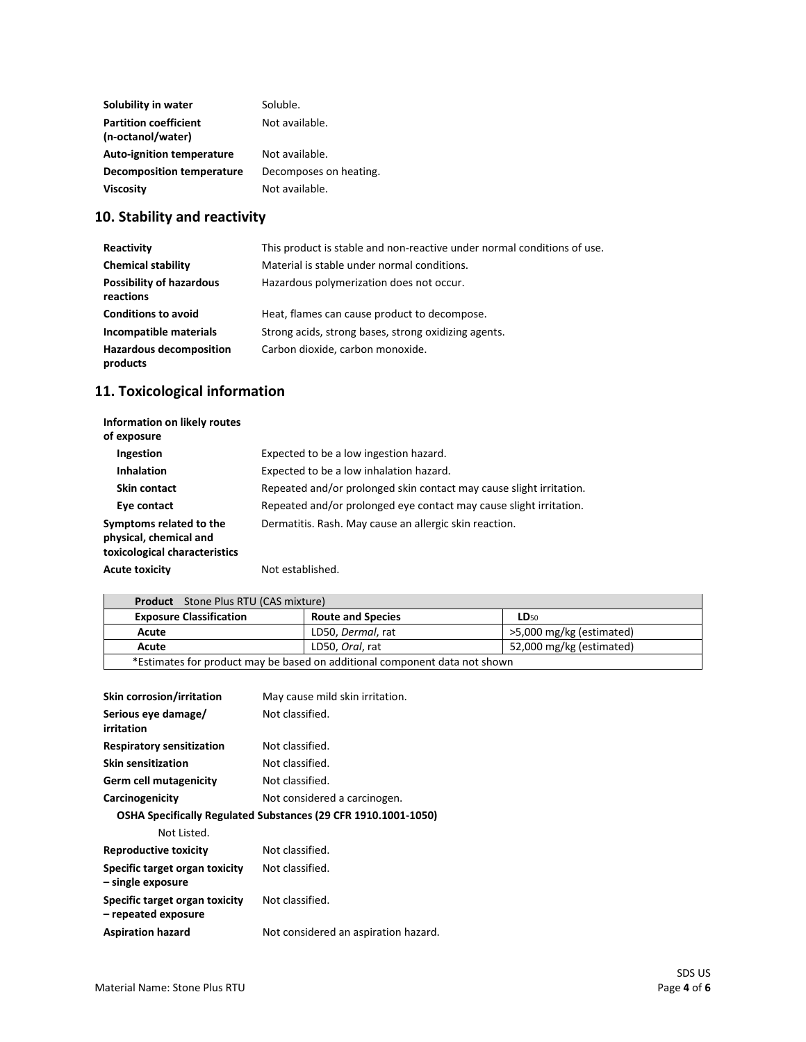| Solubility in water              | Soluble.               |
|----------------------------------|------------------------|
| <b>Partition coefficient</b>     | Not available.         |
| (n-octanol/water)                |                        |
| <b>Auto-ignition temperature</b> | Not available.         |
| <b>Decomposition temperature</b> | Decomposes on heating. |
| <b>Viscosity</b>                 | Not available.         |

# **10. Stability and reactivity**

| Reactivity                                   | This product is stable and non-reactive under normal conditions of use. |
|----------------------------------------------|-------------------------------------------------------------------------|
| <b>Chemical stability</b>                    | Material is stable under normal conditions.                             |
| <b>Possibility of hazardous</b><br>reactions | Hazardous polymerization does not occur.                                |
| <b>Conditions to avoid</b>                   | Heat, flames can cause product to decompose.                            |
| Incompatible materials                       | Strong acids, strong bases, strong oxidizing agents.                    |
| <b>Hazardous decomposition</b><br>products   | Carbon dioxide, carbon monoxide.                                        |

# **11. Toxicological information**

| Information on likely routes<br>of exposure                                        |                                                                     |
|------------------------------------------------------------------------------------|---------------------------------------------------------------------|
| Ingestion                                                                          | Expected to be a low ingestion hazard.                              |
| <b>Inhalation</b>                                                                  | Expected to be a low inhalation hazard.                             |
| Skin contact                                                                       | Repeated and/or prolonged skin contact may cause slight irritation. |
| Eye contact                                                                        | Repeated and/or prolonged eye contact may cause slight irritation.  |
| Symptoms related to the<br>physical, chemical and<br>toxicological characteristics | Dermatitis. Rash. May cause an allergic skin reaction.              |
| <b>Acute toxicity</b>                                                              | Not established.                                                    |

| <b>Product</b> Stone Plus RTU (CAS mixture)                                |                          |                          |
|----------------------------------------------------------------------------|--------------------------|--------------------------|
| <b>Exposure Classification</b>                                             | <b>Route and Species</b> | <b>LD</b> <sub>50</sub>  |
| Acute                                                                      | LD50, Dermal, rat        | >5,000 mg/kg (estimated) |
| Acute                                                                      | LD50, Oral, rat          | 52,000 mg/kg (estimated) |
| *Estimates for product may be based on additional component data not shown |                          |                          |

| <b>Skin corrosion/irritation</b>                      | May cause mild skin irritation.                                |
|-------------------------------------------------------|----------------------------------------------------------------|
| Serious eye damage/<br>irritation                     | Not classified.                                                |
| <b>Respiratory sensitization</b>                      | Not classified.                                                |
| <b>Skin sensitization</b>                             | Not classified.                                                |
| <b>Germ cell mutagenicity</b>                         | Not classified.                                                |
| Carcinogenicity                                       | Not considered a carcinogen.                                   |
|                                                       | OSHA Specifically Regulated Substances (29 CFR 1910.1001-1050) |
| Not Listed.                                           |                                                                |
| Reproductive toxicity                                 | Not classified.                                                |
| Specific target organ toxicity<br>– single exposure   | Not classified.                                                |
| Specific target organ toxicity<br>- repeated exposure | Not classified.                                                |
| <b>Aspiration hazard</b>                              | Not considered an aspiration hazard.                           |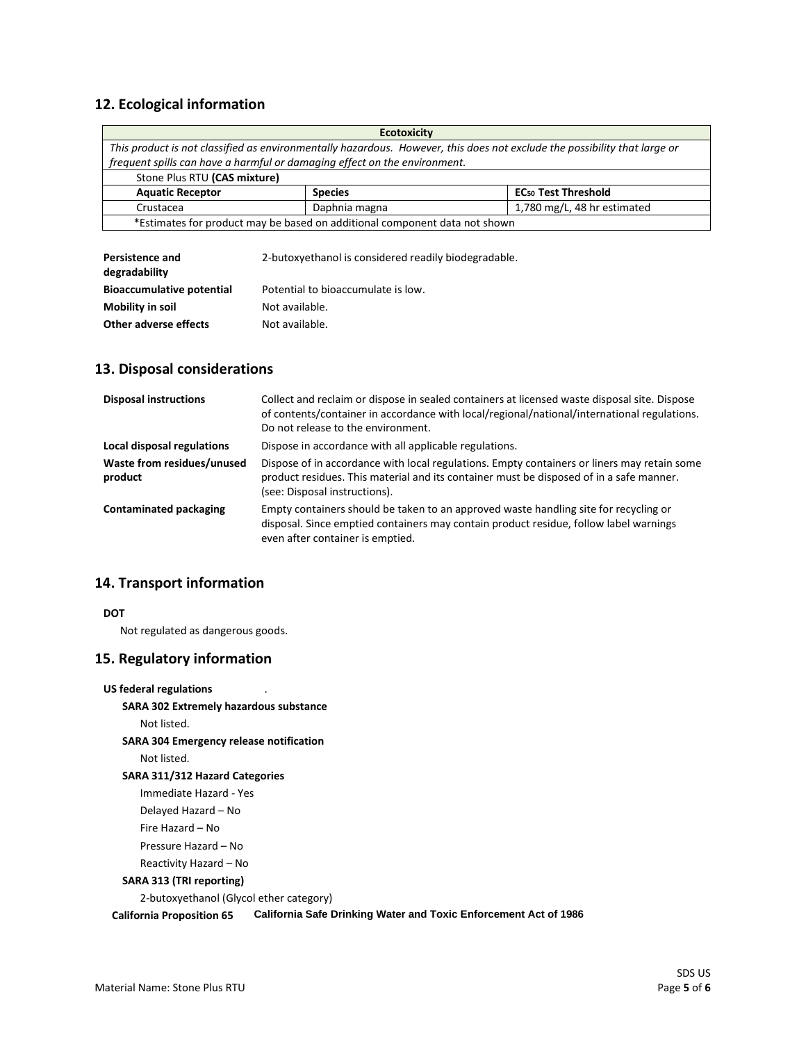### **12. Ecological information**

| <b>Ecotoxicity</b>                                                                                                        |                |                                       |  |  |
|---------------------------------------------------------------------------------------------------------------------------|----------------|---------------------------------------|--|--|
| This product is not classified as environmentally hazardous. However, this does not exclude the possibility that large or |                |                                       |  |  |
| frequent spills can have a harmful or damaging effect on the environment.                                                 |                |                                       |  |  |
| Stone Plus RTU (CAS mixture)                                                                                              |                |                                       |  |  |
| <b>Aquatic Receptor</b>                                                                                                   | <b>Species</b> | <b>EC<sub>50</sub> Test Threshold</b> |  |  |
| Crustacea                                                                                                                 | Daphnia magna  | 1,780 mg/L, 48 hr estimated           |  |  |
| *Estimates for product may be based on additional component data not shown                                                |                |                                       |  |  |
|                                                                                                                           |                |                                       |  |  |

| <b>Persistence and</b>           | 2-butoxyethanol is considered readily biodegradable. |
|----------------------------------|------------------------------------------------------|
| degradability                    |                                                      |
| <b>Bioaccumulative potential</b> | Potential to bioaccumulate is low.                   |
| Mobility in soil                 | Not available.                                       |
| Other adverse effects            | Not available.                                       |

#### **13. Disposal considerations**

| <b>Disposal instructions</b>          | Collect and reclaim or dispose in sealed containers at licensed waste disposal site. Dispose<br>of contents/container in accordance with local/regional/national/international regulations.<br>Do not release to the environment. |
|---------------------------------------|-----------------------------------------------------------------------------------------------------------------------------------------------------------------------------------------------------------------------------------|
| Local disposal regulations            | Dispose in accordance with all applicable regulations.                                                                                                                                                                            |
| Waste from residues/unused<br>product | Dispose of in accordance with local regulations. Empty containers or liners may retain some<br>product residues. This material and its container must be disposed of in a safe manner.<br>(see: Disposal instructions).           |
| <b>Contaminated packaging</b>         | Empty containers should be taken to an approved waste handling site for recycling or<br>disposal. Since emptied containers may contain product residue, follow label warnings<br>even after container is emptied.                 |

#### **14. Transport information**

#### **DOT**

Not regulated as dangerous goods.

### **15. Regulatory information**

**US federal regulations SARA 302 Extremely hazardous substance** Not listed. **SARA 304 Emergency release notification** Not listed. **SARA 311/312 Hazard Categories** Immediate Hazard - Yes Delayed Hazard – No Fire Hazard – No Pressure Hazard – No Reactivity Hazard – No **SARA 313 (TRI reporting)** 2-butoxyethanol (Glycol ether category) **California Proposition 65 California Safe Drinking Water and Toxic Enforcement Act of 1986**